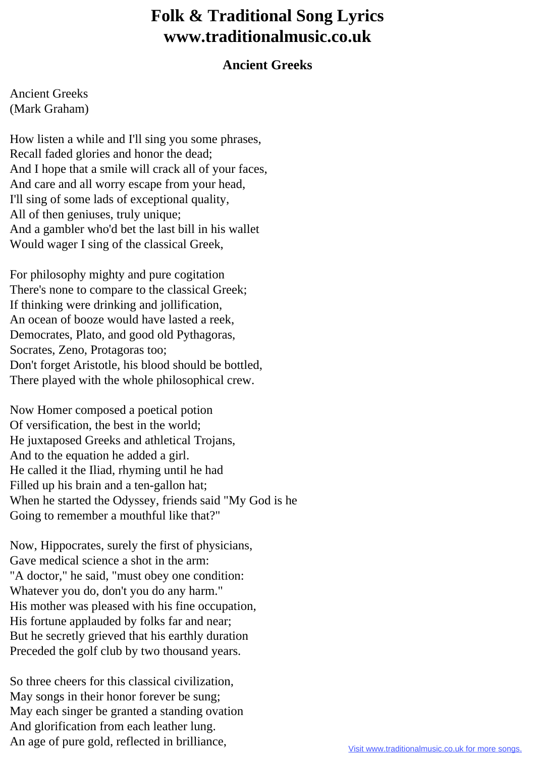## **Folk & Traditional Song Lyrics www.traditionalmusic.co.uk**

## **Ancient Greeks**

Ancient Greeks (Mark Graham)

How listen a while and I'll sing you some phrases, Recall faded glories and honor the dead; And I hope that a smile will crack all of your faces, And care and all worry escape from your head, I'll sing of some lads of exceptional quality, All of then geniuses, truly unique; And a gambler who'd bet the last bill in his wallet Would wager I sing of the classical Greek,

For philosophy mighty and pure cogitation There's none to compare to the classical Greek; If thinking were drinking and jollification, An ocean of booze would have lasted a reek, Democrates, Plato, and good old Pythagoras, Socrates, Zeno, Protagoras too; Don't forget Aristotle, his blood should be bottled, There played with the whole philosophical crew.

Now Homer composed a poetical potion Of versification, the best in the world; He juxtaposed Greeks and athletical Trojans, And to the equation he added a girl. He called it the Iliad, rhyming until he had Filled up his brain and a ten-gallon hat; When he started the Odyssey, friends said "My God is he Going to remember a mouthful like that?"

Now, Hippocrates, surely the first of physicians, Gave medical science a shot in the arm: "A doctor," he said, "must obey one condition: Whatever you do, don't you do any harm." His mother was pleased with his fine occupation, His fortune applauded by folks far and near; But he secretly grieved that his earthly duration Preceded the golf club by two thousand years.

So three cheers for this classical civilization, May songs in their honor forever be sung; May each singer be granted a standing ovation And glorification from each leather lung. An age of pure gold, reflected in brilliance,